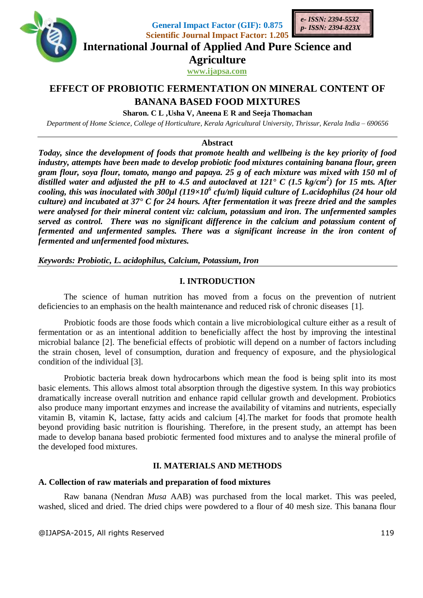

**General Impact Factor (GIF): 0.875**



**Scientific Journal Impact Factor: 1.205 International Journal of Applied And Pure Science and**

**Agriculture**

**www.ijapsa.com** 

# **EFFECT OF PROBIOTIC FERMENTATION ON MINERAL CONTENT OF BANANA BASED FOOD MIXTURES**

**Sharon. C L ,Usha V, Aneena E R and Seeja Thomachan**

*Department of Home Science, College of Horticulture, Kerala Agricultural University, Thrissur, Kerala India – 690656*

**Abstract**

*Today, since the development of foods that promote health and wellbeing is the key priority of food industry, attempts have been made to develop probiotic food mixtures containing banana flour, green gram flour, soya flour, tomato, mango and papaya. 25 g of each mixture was mixed with 150 ml of distilled water and adjusted the pH to 4.5 and autoclaved at 121° C (1.5 kg/cm<sup>2</sup> ) for 15 mts. After cooling, this was inoculated with 300µl (119×10<sup>6</sup> cfu/ml) liquid culture of L.acidophilus (24 hour old culture) and incubated at 37° C for 24 hours. After fermentation it was freeze dried and the samples were analysed for their mineral content viz: calcium, potassium and iron. The unfermented samples served as control. There was no significant difference in the calcium and potassium content of fermented and unfermented samples. There was a significant increase in the iron content of fermented and unfermented food mixtures.*

*Keywords: Probiotic, L. acidophilus, Calcium, Potassium, Iron*

## **I. INTRODUCTION**

The science of human nutrition has moved from a focus on the prevention of nutrient deficiencies to an emphasis on the health maintenance and reduced risk of chronic diseases [1].

Probiotic foods are those foods which contain a live microbiological culture either as a result of fermentation or as an intentional addition to beneficially affect the host by improving the intestinal microbial balance [2]. The beneficial effects of probiotic will depend on a number of factors including the strain chosen, level of consumption, duration and frequency of exposure, and the physiological condition of the individual [3].

Probiotic bacteria break down hydrocarbons which mean the food is being split into its most basic elements. This allows almost total absorption through the digestive system. In this way probiotics dramatically increase overall nutrition and enhance rapid cellular growth and development. Probiotics also produce many important enzymes and increase the availability of vitamins and nutrients, especially vitamin B, vitamin K, lactase, fatty acids and calcium [4].The market for foods that promote health beyond providing basic nutrition is flourishing. Therefore, in the present study, an attempt has been made to develop banana based probiotic fermented food mixtures and to analyse the mineral profile of the developed food mixtures.

# **II. MATERIALS AND METHODS**

## **A. Collection of raw materials and preparation of food mixtures**

Raw banana (Nendran *Musa* AAB) was purchased from the local market. This was peeled, washed, sliced and dried. The dried chips were powdered to a flour of 40 mesh size. This banana flour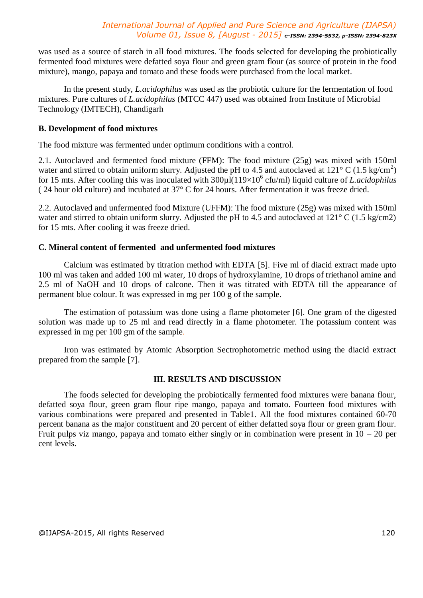was used as a source of starch in all food mixtures. The foods selected for developing the probiotically fermented food mixtures were defatted soya flour and green gram flour (as source of protein in the food mixture), mango, papaya and tomato and these foods were purchased from the local market.

In the present study, *L.acidophilus* was used as the probiotic culture for the fermentation of food mixtures. Pure cultures of *L.acidophilus* (MTCC 447) used was obtained from Institute of Microbial Technology (IMTECH), Chandigarh

## **B. Development of food mixtures**

The food mixture was fermented under optimum conditions with a control.

2.1. Autoclaved and fermented food mixture (FFM): The food mixture (25g) was mixed with 150ml water and stirred to obtain uniform slurry. Adjusted the pH to 4.5 and autoclaved at  $121^{\circ}$  C (1.5 kg/cm<sup>2</sup>) for 15 mts. After cooling this was inoculated with 300µl(119×10<sup>6</sup> cfu/ml) liquid culture of *L.acidophilus* ( 24 hour old culture) and incubated at 37° C for 24 hours. After fermentation it was freeze dried.

2.2. Autoclaved and unfermented food Mixture (UFFM): The food mixture (25g) was mixed with 150ml water and stirred to obtain uniform slurry. Adjusted the pH to 4.5 and autoclaved at  $121^{\circ}$  C (1.5 kg/cm2) for 15 mts. After cooling it was freeze dried.

## **C. Mineral content of fermented and unfermented food mixtures**

Calcium was estimated by titration method with EDTA [5]. Five ml of diacid extract made upto 100 ml was taken and added 100 ml water, 10 drops of hydroxylamine, 10 drops of triethanol amine and 2.5 ml of NaOH and 10 drops of calcone. Then it was titrated with EDTA till the appearance of permanent blue colour. It was expressed in mg per 100 g of the sample.

The estimation of potassium was done using a flame photometer [6]. One gram of the digested solution was made up to 25 ml and read directly in a flame photometer. The potassium content was expressed in mg per 100 gm of the sample.

Iron was estimated by Atomic Absorption Sectrophotometric method using the diacid extract prepared from the sample [7].

### **III. RESULTS AND DISCUSSION**

The foods selected for developing the probiotically fermented food mixtures were banana flour, defatted soya flour, green gram flour ripe mango, papaya and tomato. Fourteen food mixtures with various combinations were prepared and presented in Table1. All the food mixtures contained 60-70 percent banana as the major constituent and 20 percent of either defatted soya flour or green gram flour. Fruit pulps viz mango, papaya and tomato either singly or in combination were present in  $10 - 20$  per cent levels.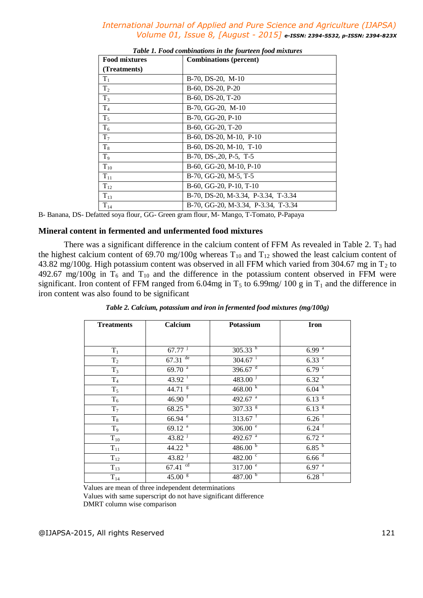| <b>Food mixtures</b> | <b>Combinations</b> (percent)       |  |  |
|----------------------|-------------------------------------|--|--|
| (Treatments)         |                                     |  |  |
| $T_1$                | $B-70$ , $DS-20$ , $M-10$           |  |  |
| T <sub>2</sub>       | B-60, DS-20, P-20                   |  |  |
| $T_3$                | B-60, DS-20, T-20                   |  |  |
| T <sub>4</sub>       | B-70, GG-20, M-10                   |  |  |
| $T_5$                | B-70, GG-20, P-10                   |  |  |
| $T_6$                | B-60, GG-20, T-20                   |  |  |
| $T_7$                | $B-60$ , DS-20, M-10, P-10          |  |  |
| $T_8$                | $B-60$ , DS-20, M-10, T-10          |  |  |
| T <sub>9</sub>       | $B-70$ , $DS-20$ , $P-5$ , $T-5$    |  |  |
| $T_{10}$             | B-60, GG-20, M-10, P-10             |  |  |
| $T_{11}$             | B-70, GG-20, M-5, T-5               |  |  |
| $T_{12}$             | B-60, GG-20, P-10, T-10             |  |  |
| $T_{13}$             | B-70, DS-20, M-3.34, P-3.34, T-3.34 |  |  |
| $T_{14}$             | B-70, GG-20, M-3.34, P-3.34, T-3.34 |  |  |

| Table 1. Food combinations in the fourteen food mixtures |  |
|----------------------------------------------------------|--|
|----------------------------------------------------------|--|

B- Banana, DS- Defatted soya flour, GG- Green gram flour, M- Mango, T-Tomato, P-Papaya

#### **Mineral content in fermented and unfermented food mixtures**

There was a significant difference in the calcium content of FFM As revealed in Table 2.  $T_3$  had the highest calcium content of 69.70 mg/100g whereas  $T_{10}$  and  $T_{12}$  showed the least calcium content of 43.82 mg/100g. High potassium content was observed in all FFM which varied from 304.67 mg in  $T_2$  to 492.67 mg/100g in  $T_6$  and  $T_{10}$  and the difference in the potassium content observed in FFM were significant. Iron content of FFM ranged from 6.04mg in  $T_5$  to 6.99mg/ 100 g in  $T_1$  and the difference in iron content was also found to be significant

| <b>Treatments</b> | Calcium               | <b>Potassium</b>      | <b>Iron</b>          |
|-------------------|-----------------------|-----------------------|----------------------|
|                   |                       |                       |                      |
| $T_1$             | $67.77$ <sup>j</sup>  | $305.33^{h}$          | $6.99^{a}$           |
| T <sub>2</sub>    | $67.31$ <sup>de</sup> | $304.67$ <sup>i</sup> | 6.33 e               |
| $T_3$             | $69.70$ <sup>a</sup>  | 396.67 $d$            | 6.79 <sup>c</sup>    |
| $T_4$             | $43.92$ <sup>i</sup>  | 483.00 <sup>j</sup>   | 6.32 e               |
| $T_5$             | $44.71$ $8$           | 468.00 k              | 6.04 h               |
| $T_6$             | $46.90$ <sup>f</sup>  | $492.67$ <sup>a</sup> | $6.13$ $\frac{8}{1}$ |
| $T_7$             | $68.25^{b}$           | $307.33$ $8$          | $6.13$ $\frac{8}{1}$ |
| $\rm T_8$         | $66.94$ <sup>e</sup>  | $313.67$ <sup>f</sup> | $6.26$ <sup>f</sup>  |
| T <sub>9</sub>    | 69.12 <sup>a</sup>    | 306.00 e              | $6.24$ <sup>f</sup>  |
| $T_{10}$          | $43.82$ <sup>j</sup>  | $492.67^{a}$          | $6.72$ <sup>a</sup>  |
| $T_{11}$          | 44.22 $^{\rm h}$      | 486.00 <sup>b</sup>   | 6.85 <sup>b</sup>    |
| $T_{12}$          | $43.82$ <sup>j</sup>  | 482.00 $\degree$      | $6.66$ <sup>d</sup>  |
| $T_{13}$          | $67.41$ <sup>cd</sup> | 317.00 e              | $6.97$ <sup>a</sup>  |
| $T_{14}$          | 45.00~ <sup>g</sup>   | 487.00 $^{\rm b}$     | $6.28$ <sup>f</sup>  |

*Table 2. Calcium, potassium and iron in fermented food mixtures (mg/100g)*

Values are mean of three independent determinations

Values with same superscript do not have significant difference

DMRT column wise comparison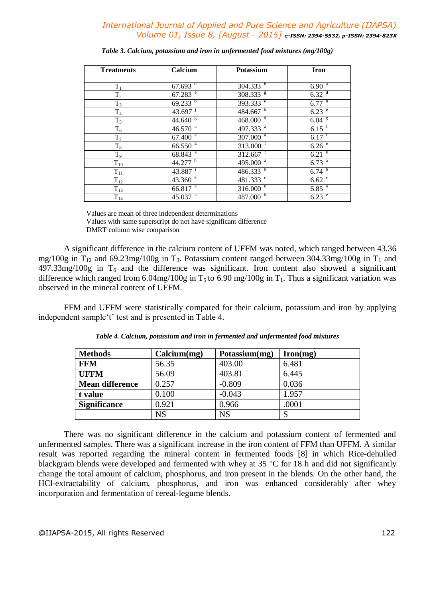| <b>Treatments</b> | Calcium               | Potassium              | <b>Iron</b>         |
|-------------------|-----------------------|------------------------|---------------------|
| $T_1$             | $67.693$ <sup>d</sup> | $304.333^{h}$          | $6.90^{a}$          |
| $\rm T_2$         | $67.283$ <sup>e</sup> | $308.333$ <sup>g</sup> | 6.32 <sup>d</sup>   |
| $T_3$             | $69.233^{b}$          | $393.333$ <sup>e</sup> | $6.77^{b}$          |
| $\rm T_4$         | $43.697$ <sup>J</sup> | 484.667 $b$            | 6.23 e              |
| $T_5$             | $44.640$ <sup>g</sup> | 468.000 <sup>d</sup>   | $6.04~^{\rm g}$     |
| $\mathrm{T}_6$    | $46.570$ <sup>a</sup> | 497.333 <sup>a</sup>   | $6.15$ <sup>f</sup> |
| $T_7$             | 67.400 e              | $307.000$ <sup>a</sup> | $6.17$ <sup>f</sup> |
| $\rm T_8$         | $66.550$ <sup>a</sup> | $313.000$ <sup>f</sup> | 6.26 e              |
| T <sub>9</sub>    | $68.843^{a}$          | $312.667$ <sup>T</sup> | $6.21$ <sup>e</sup> |
| $T_{10}$          | 44.277 h              | $495.000$ <sup>a</sup> | $6.73$ <sup>a</sup> |
| $\mathrm{T}_{11}$ | $43.887$ <sup>1</sup> | 486.333 $b$            | $6.74^{b}$          |
| $T_{12}$          | 43.360 k              | 481.333 °              | $6.62^{\circ}$      |
| $T_{13}$          | $66.817$ <sup>a</sup> | $316.000^{\circ}$      | $6.85$ <sup>a</sup> |
| $T_{14}$          | 45.037 $^{\circ}$     | 487.000 <sup>b</sup>   | $6.23$ <sup>e</sup> |

*Table 3. Calcium, potassium and iron in unfermented food mixtures (mg/100g)*

Values are mean of three independent determinations

Values with same superscript do not have significant difference DMRT column wise comparison

A significant difference in the calcium content of UFFM was noted, which ranged between 43.36 mg/100g in  $T_{12}$  and 69.23mg/100g in  $T_3$ . Potassium content ranged between 304.33mg/100g in  $T_1$  and  $497.33$ mg/100g in T<sub>6</sub> and the difference was significant. Iron content also showed a significant difference which ranged from 6.04mg/100g in  $T_5$  to 6.90 mg/100g in  $T_1$ . Thus a significant variation was observed in the mineral content of UFFM.

FFM and UFFM were statistically compared for their calcium, potassium and iron by applying independent sample't' test and is presented in Table 4.

| <b>Methods</b>         | Calcium(mg) | Potassium(mg) | $\mathbf{Iron}(mg)$ |
|------------------------|-------------|---------------|---------------------|
| <b>FFM</b>             | 56.35       | 403.00        | 6.481               |
| <b>UFFM</b>            | 56.09       | 403.81        | 6.445               |
| <b>Mean difference</b> | 0.257       | $-0.809$      | 0.036               |
| t value                | 0.100       | $-0.043$      | 1.957               |
| <b>Significance</b>    | 0.921       | 0.966         | .0001               |
|                        | <b>NS</b>   | NS            |                     |

*Table 4. Calcium, potassium and iron in fermented and unfermented food mixtures*

There was no significant difference in the calcium and potassium content of fermented and unfermented samples. There was a significant increase in the iron content of FFM than UFFM. A similar result was reported regarding the mineral content in fermented foods [8] in which Rice-dehulled blackgram blends were developed and fermented with whey at 35 °C for 18 h and did not significantly change the total amount of calcium, phosphorus, and iron present in the blends. On the other hand, the HCl-extractability of calcium, phosphorus, and iron was enhanced considerably after whey incorporation and fermentation of cereal-legume blends.